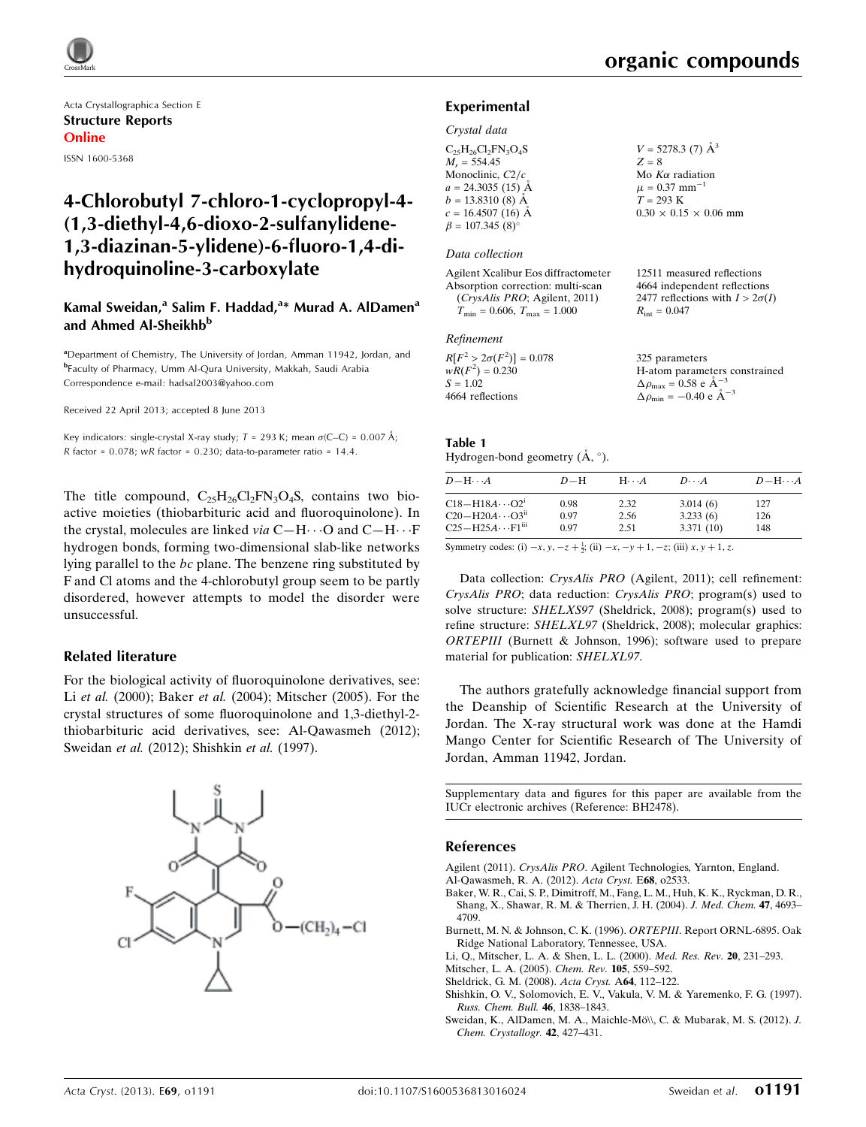Acta Crystallographica Section E Structure Reports Online ISSN 1600-5368

# 4-Chlorobutyl 7-chloro-1-cyclopropyl-4- (1,3-diethyl-4,6-dioxo-2-sulfanylidene-1,3-diazinan-5-ylidene)-6-fluoro-1,4-dihydroquinoline-3-carboxylate

### Kamal Sweidan,<sup>a</sup> Salim F. Haddad,<sup>a</sup>\* Murad A. AlDamen<sup>a</sup> and Ahmed Al-Sheikhb<sup>b</sup>

<sup>a</sup>Department of Chemistry, The University of Jordan, Amman 11942, Jordan, and b Faculty of Pharmacy, Umm Al-Qura University, Makkah, Saudi Arabia Correspondence e-mail: [hadsal2003@yahoo.com](https://scripts.iucr.org/cgi-bin/cr.cgi?rm=pdfbb&cnor=bh2478&bbid=BB9)

Received 22 April 2013; accepted 8 June 2013

Key indicators: single-crystal X-ray study;  $T = 293$  K; mean  $\sigma$ (C–C) = 0.007 Å; R factor =  $0.078$ ; wR factor =  $0.230$ ; data-to-parameter ratio = 14.4.

The title compound,  $C_{25}H_{26}Cl_2FN_3O_4S$ , contains two bioactive moieties (thiobarbituric acid and fluoroquinolone). In the crystal, molecules are linked *via*  $C-H \cdots O$  and  $C-H \cdots F$ hydrogen bonds, forming two-dimensional slab-like networks lying parallel to the bc plane. The benzene ring substituted by F and Cl atoms and the 4-chlorobutyl group seem to be partly disordered, however attempts to model the disorder were unsuccessful.

### Related literature

For the biological activity of fluoroquinolone derivatives, see: Li et al. (2000); Baker et al. (2004); Mitscher (2005). For the crystal structures of some fluoroquinolone and 1,3-diethyl-2 thiobarbituric acid derivatives, see: Al-Qawasmeh (2012); Sweidan et al. (2012); Shishkin et al. (1997).



12511 measured reflections 4664 independent reflections 2477 reflections with  $I > 2\sigma(I)$ 

 $R_{\text{int}} = 0.047$ 

### Experimental

### Crystal data

| $C_{25}H_{26}Cl_2FN_3O_4S$   | $V = 5278.3$ (7) $\AA^3$          |
|------------------------------|-----------------------------------|
| $M_r = 554.45$               | $Z = 8$                           |
| Monoclinic, $C2/c$           | Mo $K\alpha$ radiation            |
| $a = 24.3035(15)$ Å          | $\mu = 0.37$ mm <sup>-1</sup>     |
| $b = 13.8310(8)$ Å           | $T = 293 K$                       |
| $c = 16.4507(16)$ Å          | $0.30 \times 0.15 \times 0.06$ mm |
| $\beta = 107.345(8)^{\circ}$ |                                   |
|                              |                                   |

### Data collection

| Agilent Xcalibur Eos diffractometer  |
|--------------------------------------|
| Absorption correction: multi-scan    |
| (CrysAlis PRO; Agilent, 2011)        |
| $T_{\min} = 0.606, T_{\max} = 1.000$ |

#### Refinement

| $R[F^2 > 2\sigma(F^2)] = 0.078$<br>$wR(F^2) = 0.230$ | 325 parameters<br>H-atom parameters constrained     |
|------------------------------------------------------|-----------------------------------------------------|
| $S = 1.02$                                           | $\Delta \rho_{\text{max}} = 0.58 \text{ e A}^{-3}$  |
| 4664 reflections                                     | $\Delta \rho_{\text{min}} = -0.40 \text{ e A}^{-3}$ |

### Table 1

Hydrogen-bond geometry  $(\mathring{A}, \degree)$ .

| $D - H \cdots A$             | $D-H$ | $H\cdots A$ | $D\cdot\cdot\cdot A$ | $D - H \cdots A$ |
|------------------------------|-------|-------------|----------------------|------------------|
| $C18 - H18A \cdots O2^i$     | 0.98  | 2.32        | 3.014(6)             | 127              |
| $C20 - H20A \cdots O3ii$     | 0.97  | 2.56        | 3.233(6)             | 126              |
| $C25 - H25A \cdots F1^{iii}$ | 0.97  | 2.51        | 3.371(10)            | 148              |

Symmetry codes: (i)  $-x, y, -z + \frac{1}{2}$ ; (ii)  $-x, -y + 1, -z$ ; (iii)  $x, y + 1, z$ .

Data collection: CrysAlis PRO (Agilent, 2011); cell refinement: CrysAlis PRO; data reduction: CrysAlis PRO; program(s) used to solve structure: SHELXS97 (Sheldrick, 2008); program(s) used to refine structure: SHELXL97 (Sheldrick, 2008); molecular graphics: ORTEPIII (Burnett & Johnson, 1996); software used to prepare material for publication: SHELXL97.

The authors gratefully acknowledge financial support from the Deanship of Scientific Research at the University of Jordan. The X-ray structural work was done at the Hamdi Mango Center for Scientific Research of The University of Jordan, Amman 11942, Jordan.

Supplementary data and figures for this paper are available from the IUCr electronic archives (Reference: BH2478).

### References

Agilent (2011). CrysAlis PRO[. Agilent Technologies, Yarnton, England.](https://scripts.iucr.org/cgi-bin/cr.cgi?rm=pdfbb&cnor=bh2478&bbid=BB1) [Al-Qawasmeh, R. A. \(2012\).](https://scripts.iucr.org/cgi-bin/cr.cgi?rm=pdfbb&cnor=bh2478&bbid=BB2) Acta Cryst. E68, o2533.

- [Baker, W. R., Cai, S. P., Dimitroff, M., Fang, L. M., Huh, K. K., Ryckman, D. R.,](https://scripts.iucr.org/cgi-bin/cr.cgi?rm=pdfbb&cnor=bh2478&bbid=BB3) [Shang, X., Shawar, R. M. & Therrien, J. H. \(2004\).](https://scripts.iucr.org/cgi-bin/cr.cgi?rm=pdfbb&cnor=bh2478&bbid=BB3) J. Med. Chem. 47, 4693– [4709.](https://scripts.iucr.org/cgi-bin/cr.cgi?rm=pdfbb&cnor=bh2478&bbid=BB3)
- [Burnett, M. N. & Johnson, C. K. \(1996\).](https://scripts.iucr.org/cgi-bin/cr.cgi?rm=pdfbb&cnor=bh2478&bbid=BB4) ORTEPIII. Report ORNL-6895. Oak [Ridge National Laboratory, Tennessee, USA.](https://scripts.iucr.org/cgi-bin/cr.cgi?rm=pdfbb&cnor=bh2478&bbid=BB4)

[Li, Q., Mitscher, L. A. & Shen, L. L. \(2000\).](https://scripts.iucr.org/cgi-bin/cr.cgi?rm=pdfbb&cnor=bh2478&bbid=BB5) Med. Res. Rev. 20, 231–293.

- [Mitscher, L. A. \(2005\).](https://scripts.iucr.org/cgi-bin/cr.cgi?rm=pdfbb&cnor=bh2478&bbid=BB6) Chem. Rev. 105, 559–592.
- [Sheldrick, G. M. \(2008\).](https://scripts.iucr.org/cgi-bin/cr.cgi?rm=pdfbb&cnor=bh2478&bbid=BB7) Acta Cryst. A64, 112–122.
- [Shishkin, O. V., Solomovich, E. V., Vakula, V. M. & Yaremenko, F. G. \(1997\).](https://scripts.iucr.org/cgi-bin/cr.cgi?rm=pdfbb&cnor=bh2478&bbid=BB8) [Russ. Chem. Bull.](https://scripts.iucr.org/cgi-bin/cr.cgi?rm=pdfbb&cnor=bh2478&bbid=BB8) 46, 1838–1843.
- Sweidan, K., AlDamen, M. A., Maichle-Mö\\, C. & Mubarak, M. S. (2012). J. [Chem. Crystallogr.](https://scripts.iucr.org/cgi-bin/cr.cgi?rm=pdfbb&cnor=bh2478&bbid=BB9) 42, 427–431.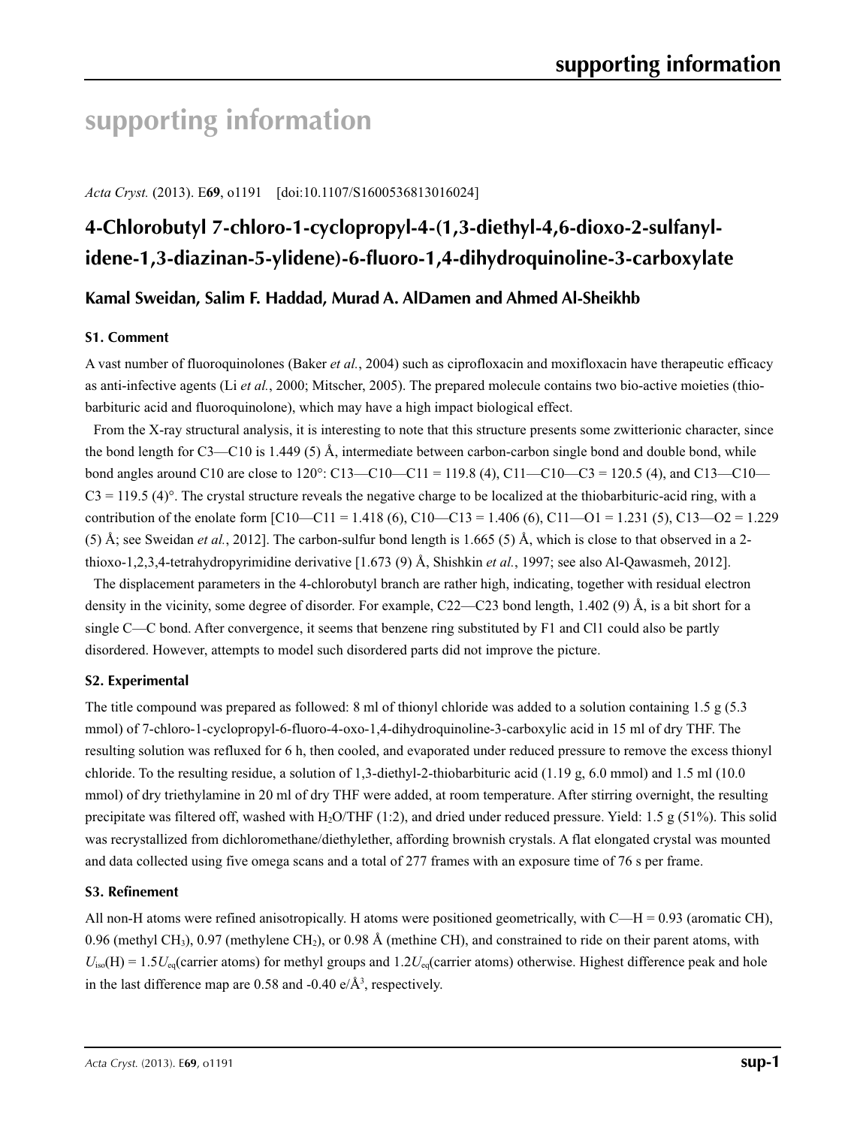# **supporting information**

*Acta Cryst.* (2013). E**69**, o1191 [doi:10.1107/S1600536813016024]

# **4-Chlorobutyl 7-chloro-1-cyclopropyl-4-(1,3-diethyl-4,6-dioxo-2-sulfanylidene-1,3-diazinan-5-ylidene)-6-fluoro-1,4-dihydroquinoline-3-carboxylate**

### **Kamal Sweidan, Salim F. Haddad, Murad A. AlDamen and Ahmed Al-Sheikhb**

### **S1. Comment**

A vast number of fluoroquinolones (Baker *et al.*, 2004) such as ciprofloxacin and moxifloxacin have therapeutic efficacy as anti-infective agents (Li *et al.*, 2000; Mitscher, 2005). The prepared molecule contains two bio-active moieties (thiobarbituric acid and fluoroquinolone), which may have a high impact biological effect.

From the X-ray structural analysis, it is interesting to note that this structure presents some zwitterionic character, since the bond length for C3—C10 is 1.449 (5) Å, intermediate between carbon-carbon single bond and double bond, while bond angles around C10 are close to 120°: C13—C10—C11 = 119.8 (4), C11—C10—C3 = 120.5 (4), and C13—C10—  $C3 = 119.5$  (4)<sup>o</sup>. The crystal structure reveals the negative charge to be localized at the thiobarbituric-acid ring, with a contribution of the enolate form  $\lceil C10 - C11 \rceil = 1.418$  (6), C10-C13 = 1.406 (6), C11-O1 = 1.231 (5), C13-O2 = 1.229 (5) Å; see Sweidan *et al.*, 2012]. The carbon-sulfur bond length is 1.665 (5) Å, which is close to that observed in a 2 thioxo-1,2,3,4-tetrahydropyrimidine derivative [1.673 (9) Å, Shishkin *et al.*, 1997; see also Al-Qawasmeh, 2012].

The displacement parameters in the 4-chlorobutyl branch are rather high, indicating, together with residual electron density in the vicinity, some degree of disorder. For example, C22—C23 bond length, 1.402 (9) Å, is a bit short for a single C—C bond. After convergence, it seems that benzene ring substituted by F1 and Cl1 could also be partly disordered. However, attempts to model such disordered parts did not improve the picture.

### **S2. Experimental**

The title compound was prepared as followed: 8 ml of thionyl chloride was added to a solution containing 1.5 g (5.3 mmol) of 7-chloro-1-cyclopropyl-6-fluoro-4-oxo-1,4-dihydroquinoline-3-carboxylic acid in 15 ml of dry THF. The resulting solution was refluxed for 6 h, then cooled, and evaporated under reduced pressure to remove the excess thionyl chloride. To the resulting residue, a solution of 1,3-diethyl-2-thiobarbituric acid  $(1.19 \text{ g}, 6.0 \text{ mmol})$  and 1.5 ml (10.0) mmol) of dry triethylamine in 20 ml of dry THF were added, at room temperature. After stirring overnight, the resulting precipitate was filtered off, washed with H<sub>2</sub>O/THF (1:2), and dried under reduced pressure. Yield: 1.5 g (51%). This solid was recrystallized from dichloromethane/diethylether, affording brownish crystals. A flat elongated crystal was mounted and data collected using five omega scans and a total of 277 frames with an exposure time of 76 s per frame.

### **S3. Refinement**

All non-H atoms were refined anisotropically. H atoms were positioned geometrically, with C—H = 0.93 (aromatic CH), 0.96 (methyl CH<sub>3</sub>), 0.97 (methylene CH<sub>2</sub>), or 0.98 Å (methine CH), and constrained to ride on their parent atoms, with  $U_{\text{iso}}(H) = 1.5U_{\text{eq}}$  (carrier atoms) for methyl groups and  $1.2U_{\text{eq}}$  (carrier atoms) otherwise. Highest difference peak and hole in the last difference map are 0.58 and -0.40  $e/\text{\AA}^3$ , respectively.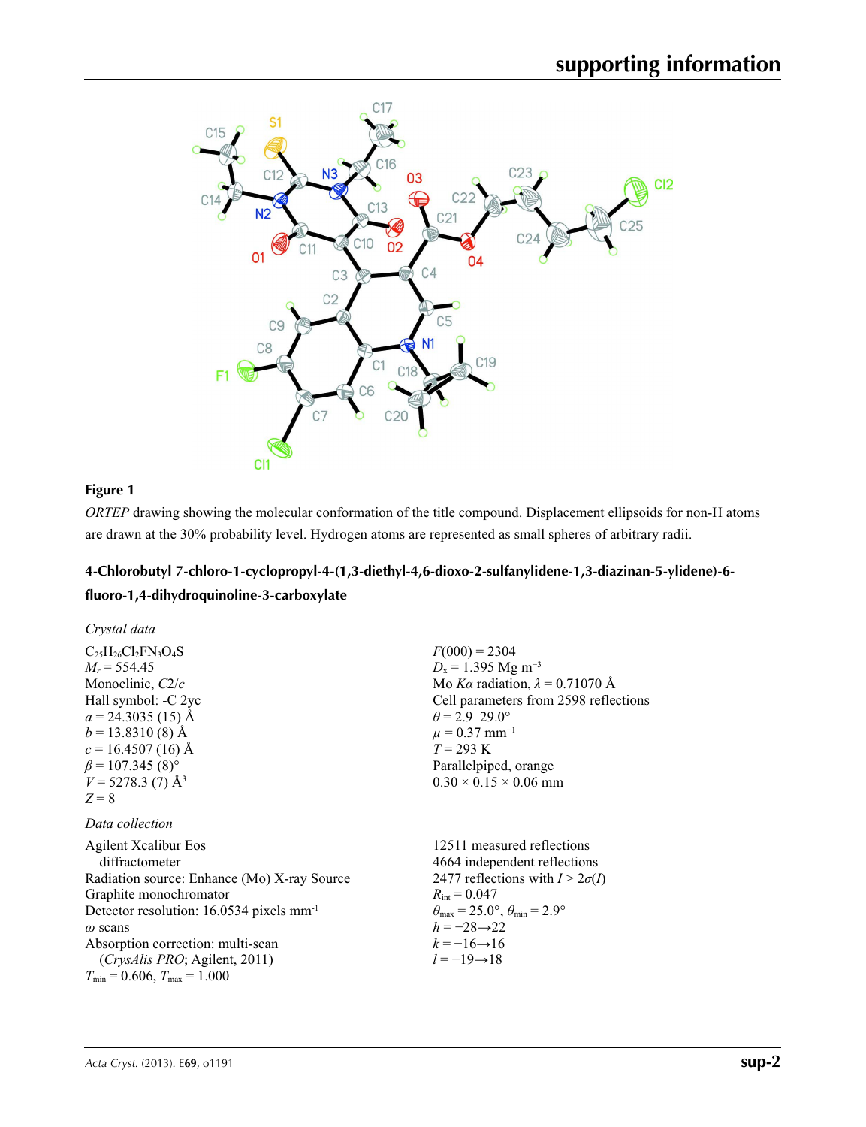

### **Figure 1**

*ORTEP* drawing showing the molecular conformation of the title compound. Displacement ellipsoids for non-H atoms are drawn at the 30% probability level. Hydrogen atoms are represented as small spheres of arbitrary radii.

# **4-Chlorobutyl 7-chloro-1-cyclopropyl-4-(1,3-diethyl-4,6-dioxo-2-sulfanylidene-1,3-diazinan-5-ylidene)-6 fluoro-1,4-dihydroquinoline-3-carboxylate**

| Crystal data                                         |                                                       |
|------------------------------------------------------|-------------------------------------------------------|
| $C_{25}H_{26}Cl_2FN_3O_4S$                           | $F(000) = 2304$                                       |
| $M_r = 554.45$                                       | $D_x = 1.395$ Mg m <sup>-3</sup>                      |
| Monoclinic, $C2/c$                                   | Mo Ka radiation, $\lambda = 0.71070$ Å                |
| Hall symbol: -C 2yc                                  | Cell parameters from 2598 reflections                 |
| $a = 24.3035(15)$ Å                                  | $\theta$ = 2.9–29.0°                                  |
| $b = 13.8310(8)$ Å                                   | $\mu = 0.37$ mm <sup>-1</sup>                         |
| $c = 16.4507(16)$ Å                                  | $T = 293 \text{ K}$                                   |
| $\beta$ = 107.345 (8) <sup>o</sup>                   | Parallelpiped, orange                                 |
| $V = 5278.3$ (7) Å <sup>3</sup>                      | $0.30 \times 0.15 \times 0.06$ mm                     |
| $Z=8$                                                |                                                       |
| Data collection                                      |                                                       |
| <b>Agilent Xcalibur Eos</b>                          | 12511 measured reflections                            |
| diffractometer                                       | 4664 independent reflections                          |
| Radiation source: Enhance (Mo) X-ray Source          | 2477 reflections with $I > 2\sigma(I)$                |
| Graphite monochromator                               | $R_{\rm int} = 0.047$                                 |
| Detector resolution: 16.0534 pixels mm <sup>-1</sup> | $\theta_{\rm max}$ = 25.0°, $\theta_{\rm min}$ = 2.9° |
| $\omega$ scans                                       | $h = -28 \rightarrow 22$                              |
| Absorption correction: multi-scan                    | $k = -16 \rightarrow 16$                              |
| <i>(CrysAlis PRO</i> ; Agilent, 2011)                | $l = -19 \rightarrow 18$                              |
| $T_{\min} = 0.606$ , $T_{\max} = 1.000$              |                                                       |
|                                                      |                                                       |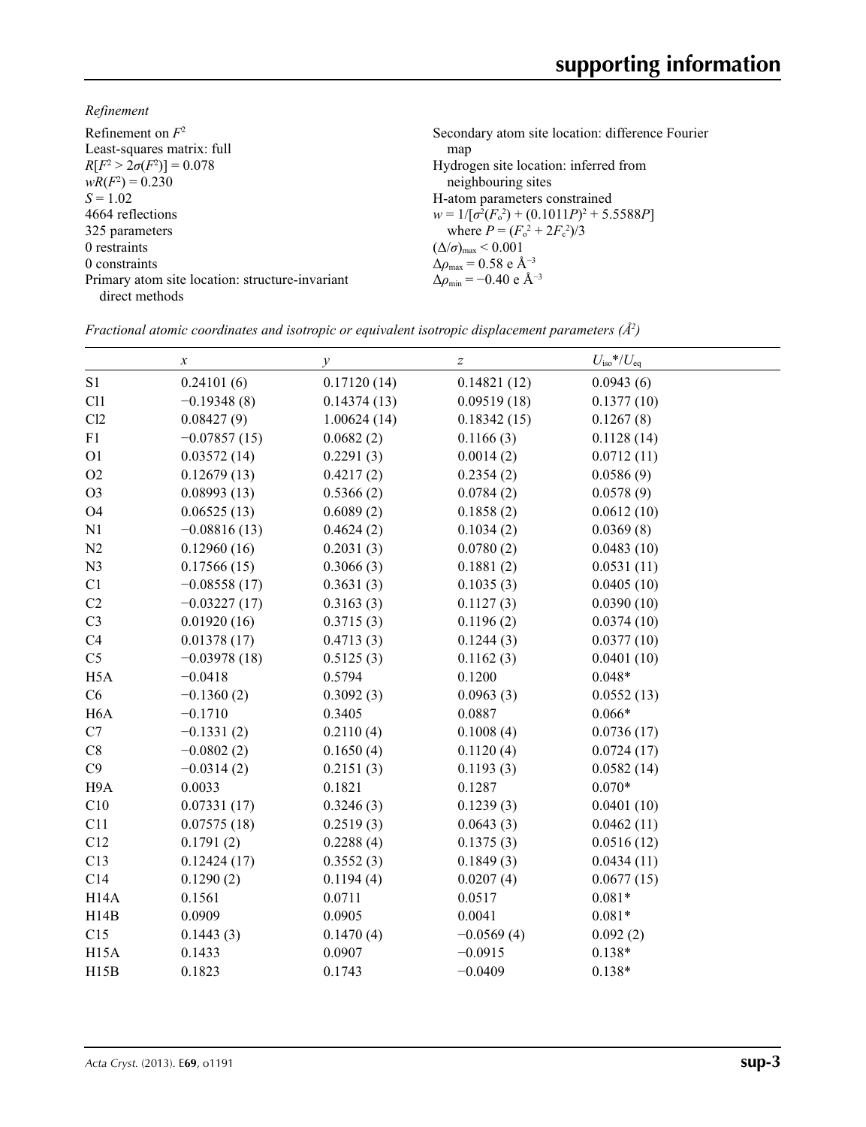*Refinement*

| Refinement on $F^2$                             | Secondary atom site location: difference Fourier   |
|-------------------------------------------------|----------------------------------------------------|
| Least-squares matrix: full                      | map                                                |
| $R[F^2 > 2\sigma(F^2)] = 0.078$                 | Hydrogen site location: inferred from              |
| $wR(F^2) = 0.230$                               | neighbouring sites                                 |
| $S = 1.02$                                      | H-atom parameters constrained                      |
| 4664 reflections                                | $w = 1/[\sigma^2(F_0^2) + (0.1011P)^2 + 5.5588P]$  |
| 325 parameters                                  | where $P = (F_o^2 + 2F_c^2)/3$                     |
| 0 restraints                                    | $(\Delta/\sigma)_{\text{max}}$ < 0.001             |
| 0 constraints                                   | $\Delta \rho_{\text{max}} = 0.58 \text{ e A}^{-3}$ |
| Primary atom site location: structure-invariant | $\Delta \rho_{\rm min} = -0.40 \text{ e A}^{-3}$   |
| direct methods                                  |                                                    |

|                   | $\boldsymbol{\chi}$ | $\mathcal{Y}$ | $\boldsymbol{Z}$ | $U_{\rm iso}*/U_{\rm eq}$ |
|-------------------|---------------------|---------------|------------------|---------------------------|
| S1                | 0.24101(6)          | 0.17120(14)   | 0.14821(12)      | 0.0943(6)                 |
| C11               | $-0.19348(8)$       | 0.14374(13)   | 0.09519(18)      | 0.1377(10)                |
| Cl2               | 0.08427(9)          | 1.00624(14)   | 0.18342(15)      | 0.1267(8)                 |
| ${\rm F}1$        | $-0.07857(15)$      | 0.0682(2)     | 0.1166(3)        | 0.1128(14)                |
| O <sub>1</sub>    | 0.03572(14)         | 0.2291(3)     | 0.0014(2)        | 0.0712(11)                |
| O2                | 0.12679(13)         | 0.4217(2)     | 0.2354(2)        | 0.0586(9)                 |
| O <sub>3</sub>    | 0.08993(13)         | 0.5366(2)     | 0.0784(2)        | 0.0578(9)                 |
| O <sub>4</sub>    | 0.06525(13)         | 0.6089(2)     | 0.1858(2)        | 0.0612(10)                |
| N1                | $-0.08816(13)$      | 0.4624(2)     | 0.1034(2)        | 0.0369(8)                 |
| N2                | 0.12960(16)         | 0.2031(3)     | 0.0780(2)        | 0.0483(10)                |
| N <sub>3</sub>    | 0.17566(15)         | 0.3066(3)     | 0.1881(2)        | 0.0531(11)                |
| C1                | $-0.08558(17)$      | 0.3631(3)     | 0.1035(3)        | 0.0405(10)                |
| C2                | $-0.03227(17)$      | 0.3163(3)     | 0.1127(3)        | 0.0390(10)                |
| C <sub>3</sub>    | 0.01920(16)         | 0.3715(3)     | 0.1196(2)        | 0.0374(10)                |
| C4                | 0.01378(17)         | 0.4713(3)     | 0.1244(3)        | 0.0377(10)                |
| C <sub>5</sub>    | $-0.03978(18)$      | 0.5125(3)     | 0.1162(3)        | 0.0401(10)                |
| H <sub>5</sub> A  | $-0.0418$           | 0.5794        | 0.1200           | $0.048*$                  |
| C6                | $-0.1360(2)$        | 0.3092(3)     | 0.0963(3)        | 0.0552(13)                |
| H <sub>6</sub> A  | $-0.1710$           | 0.3405        | 0.0887           | $0.066*$                  |
| C7                | $-0.1331(2)$        | 0.2110(4)     | 0.1008(4)        | 0.0736(17)                |
| C8                | $-0.0802(2)$        | 0.1650(4)     | 0.1120(4)        | 0.0724(17)                |
| C9                | $-0.0314(2)$        | 0.2151(3)     | 0.1193(3)        | 0.0582(14)                |
| H9A               | 0.0033              | 0.1821        | 0.1287           | $0.070*$                  |
| C10               | 0.07331(17)         | 0.3246(3)     | 0.1239(3)        | 0.0401(10)                |
| C11               | 0.07575(18)         | 0.2519(3)     | 0.0643(3)        | 0.0462(11)                |
| C12               | 0.1791(2)           | 0.2288(4)     | 0.1375(3)        | 0.0516(12)                |
| C13               | 0.12424(17)         | 0.3552(3)     | 0.1849(3)        | 0.0434(11)                |
| C14               | 0.1290(2)           | 0.1194(4)     | 0.0207(4)        | 0.0677(15)                |
| H <sub>14</sub> A | 0.1561              | 0.0711        | 0.0517           | $0.081*$                  |
| H14B              | 0.0909              | 0.0905        | 0.0041           | $0.081*$                  |
| C15               | 0.1443(3)           | 0.1470(4)     | $-0.0569(4)$     | 0.092(2)                  |
| H <sub>15</sub> A | 0.1433              | 0.0907        | $-0.0915$        | $0.138*$                  |
| H15B              | 0.1823              | 0.1743        | $-0.0409$        | $0.138*$                  |

*Fractional atomic coordinates and isotropic or equivalent isotropic displacement parameters (Å<sup>2</sup>)*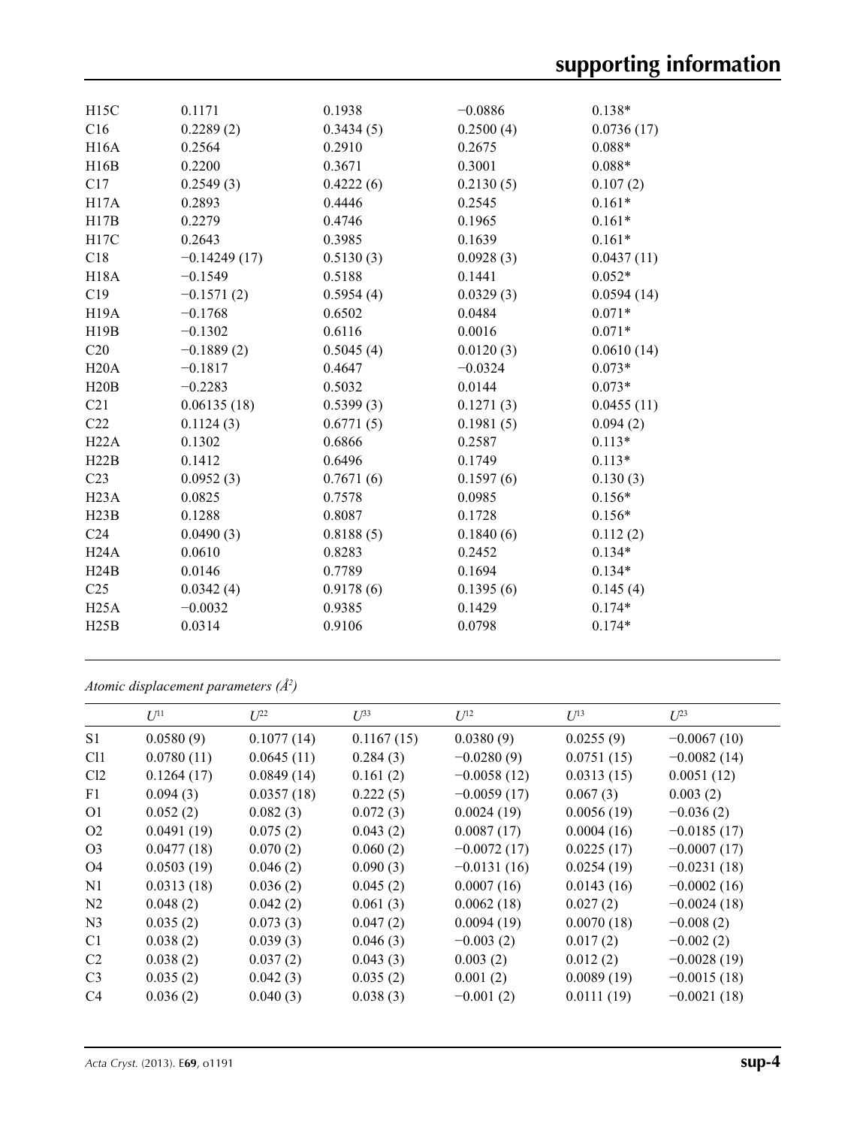| H15C              | 0.1171         | 0.1938    | $-0.0886$ | $0.138*$   |
|-------------------|----------------|-----------|-----------|------------|
| C16               | 0.2289(2)      | 0.3434(5) | 0.2500(4) | 0.0736(17) |
| H <sub>16</sub> A | 0.2564         | 0.2910    | 0.2675    | $0.088*$   |
| H16B              | 0.2200         | 0.3671    | 0.3001    | $0.088*$   |
| C17               | 0.2549(3)      | 0.4222(6) | 0.2130(5) | 0.107(2)   |
| H17A              | 0.2893         | 0.4446    | 0.2545    | $0.161*$   |
| H17B              | 0.2279         | 0.4746    | 0.1965    | $0.161*$   |
| H17C              | 0.2643         | 0.3985    | 0.1639    | $0.161*$   |
| C18               | $-0.14249(17)$ | 0.5130(3) | 0.0928(3) | 0.0437(11) |
| <b>H18A</b>       | $-0.1549$      | 0.5188    | 0.1441    | $0.052*$   |
| C19               | $-0.1571(2)$   | 0.5954(4) | 0.0329(3) | 0.0594(14) |
| H <sub>19</sub> A | $-0.1768$      | 0.6502    | 0.0484    | $0.071*$   |
| H19B              | $-0.1302$      | 0.6116    | 0.0016    | $0.071*$   |
| C20               | $-0.1889(2)$   | 0.5045(4) | 0.0120(3) | 0.0610(14) |
| H20A              | $-0.1817$      | 0.4647    | $-0.0324$ | $0.073*$   |
| H20B              | $-0.2283$      | 0.5032    | 0.0144    | $0.073*$   |
| C <sub>21</sub>   | 0.06135(18)    | 0.5399(3) | 0.1271(3) | 0.0455(11) |
| C22               | 0.1124(3)      | 0.6771(5) | 0.1981(5) | 0.094(2)   |
| H22A              | 0.1302         | 0.6866    | 0.2587    | $0.113*$   |
| H22B              | 0.1412         | 0.6496    | 0.1749    | $0.113*$   |
| C23               | 0.0952(3)      | 0.7671(6) | 0.1597(6) | 0.130(3)   |
| H23A              | 0.0825         | 0.7578    | 0.0985    | $0.156*$   |
| H23B              | 0.1288         | 0.8087    | 0.1728    | $0.156*$   |
| C <sub>24</sub>   | 0.0490(3)      | 0.8188(5) | 0.1840(6) | 0.112(2)   |
| H24A              | 0.0610         | 0.8283    | 0.2452    | $0.134*$   |
| H24B              | 0.0146         | 0.7789    | 0.1694    | $0.134*$   |
| C <sub>25</sub>   | 0.0342(4)      | 0.9178(6) | 0.1395(6) | 0.145(4)   |
| H25A              | $-0.0032$      | 0.9385    | 0.1429    | $0.174*$   |
| H25B              | 0.0314         | 0.9106    | 0.0798    | $0.174*$   |
|                   |                |           |           |            |

*Atomic displacement parameters (Å2 )*

|                | $U^{11}$   | $U^{22}$   | $U^{33}$   | $U^{12}$      | $U^{13}$   | $U^{23}$      |
|----------------|------------|------------|------------|---------------|------------|---------------|
| S1             | 0.0580(9)  | 0.1077(14) | 0.1167(15) | 0.0380(9)     | 0.0255(9)  | $-0.0067(10)$ |
| Cl1            | 0.0780(11) | 0.0645(11) | 0.284(3)   | $-0.0280(9)$  | 0.0751(15) | $-0.0082(14)$ |
| Cl2            | 0.1264(17) | 0.0849(14) | 0.161(2)   | $-0.0058(12)$ | 0.0313(15) | 0.0051(12)    |
| F <sub>1</sub> | 0.094(3)   | 0.0357(18) | 0.222(5)   | $-0.0059(17)$ | 0.067(3)   | 0.003(2)      |
| O <sub>1</sub> | 0.052(2)   | 0.082(3)   | 0.072(3)   | 0.0024(19)    | 0.0056(19) | $-0.036(2)$   |
| O <sub>2</sub> | 0.0491(19) | 0.075(2)   | 0.043(2)   | 0.0087(17)    | 0.0004(16) | $-0.0185(17)$ |
| O <sub>3</sub> | 0.0477(18) | 0.070(2)   | 0.060(2)   | $-0.0072(17)$ | 0.0225(17) | $-0.0007(17)$ |
| O4             | 0.0503(19) | 0.046(2)   | 0.090(3)   | $-0.0131(16)$ | 0.0254(19) | $-0.0231(18)$ |
| N <sub>1</sub> | 0.0313(18) | 0.036(2)   | 0.045(2)   | 0.0007(16)    | 0.0143(16) | $-0.0002(16)$ |
| N <sub>2</sub> | 0.048(2)   | 0.042(2)   | 0.061(3)   | 0.0062(18)    | 0.027(2)   | $-0.0024(18)$ |
| N <sub>3</sub> | 0.035(2)   | 0.073(3)   | 0.047(2)   | 0.0094(19)    | 0.0070(18) | $-0.008(2)$   |
| C <sub>1</sub> | 0.038(2)   | 0.039(3)   | 0.046(3)   | $-0.003(2)$   | 0.017(2)   | $-0.002(2)$   |
| C <sub>2</sub> | 0.038(2)   | 0.037(2)   | 0.043(3)   | 0.003(2)      | 0.012(2)   | $-0.0028(19)$ |
| C <sub>3</sub> | 0.035(2)   | 0.042(3)   | 0.035(2)   | 0.001(2)      | 0.0089(19) | $-0.0015(18)$ |
| C <sub>4</sub> | 0.036(2)   | 0.040(3)   | 0.038(3)   | $-0.001(2)$   | 0.0111(19) | $-0.0021(18)$ |
|                |            |            |            |               |            |               |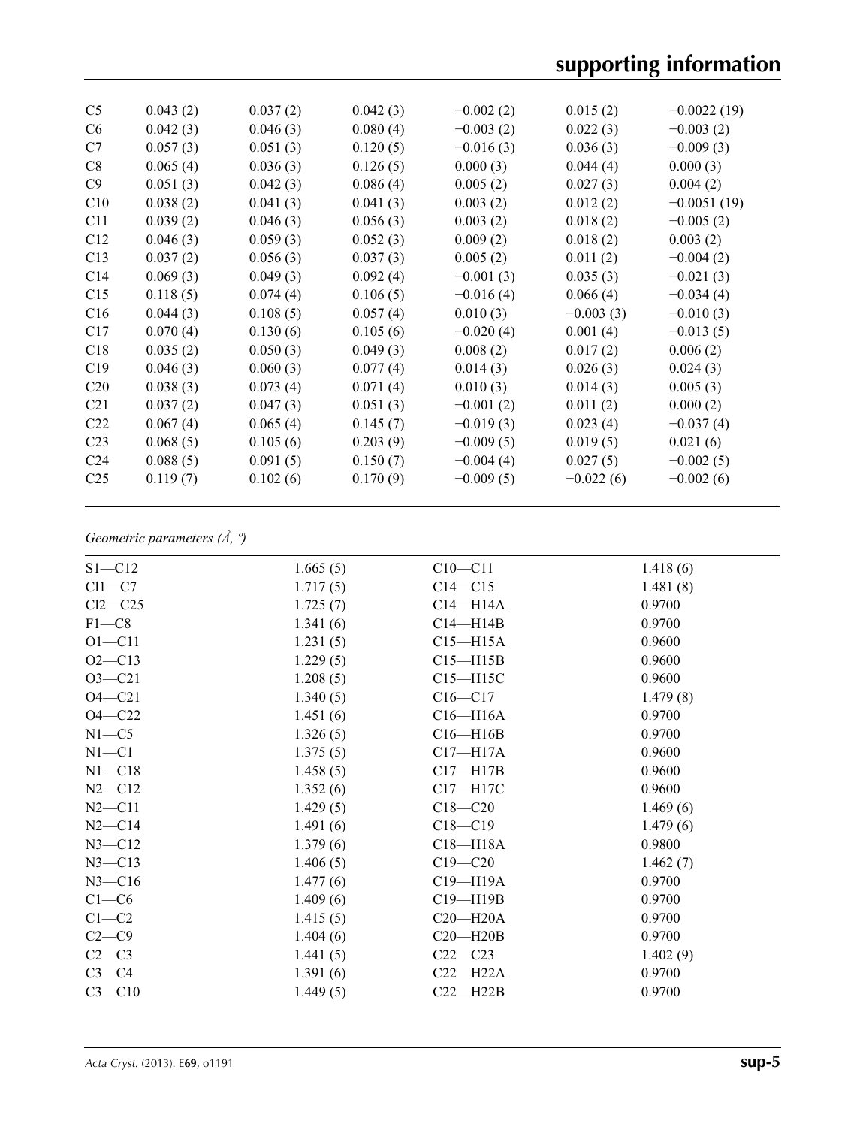| C <sub>5</sub>  | 0.043(2) | 0.037(2) | 0.042(3) | $-0.002(2)$ | 0.015(2)    | $-0.0022(19)$ |
|-----------------|----------|----------|----------|-------------|-------------|---------------|
| C <sub>6</sub>  | 0.042(3) | 0.046(3) | 0.080(4) | $-0.003(2)$ | 0.022(3)    | $-0.003(2)$   |
| C7              | 0.057(3) | 0.051(3) | 0.120(5) | $-0.016(3)$ | 0.036(3)    | $-0.009(3)$   |
| C8              | 0.065(4) | 0.036(3) | 0.126(5) | 0.000(3)    | 0.044(4)    | 0.000(3)      |
| C9              | 0.051(3) | 0.042(3) | 0.086(4) | 0.005(2)    | 0.027(3)    | 0.004(2)      |
| C10             | 0.038(2) | 0.041(3) | 0.041(3) | 0.003(2)    | 0.012(2)    | $-0.0051(19)$ |
| C11             | 0.039(2) | 0.046(3) | 0.056(3) | 0.003(2)    | 0.018(2)    | $-0.005(2)$   |
| C12             | 0.046(3) | 0.059(3) | 0.052(3) | 0.009(2)    | 0.018(2)    | 0.003(2)      |
| C13             | 0.037(2) | 0.056(3) | 0.037(3) | 0.005(2)    | 0.011(2)    | $-0.004(2)$   |
| C <sub>14</sub> | 0.069(3) | 0.049(3) | 0.092(4) | $-0.001(3)$ | 0.035(3)    | $-0.021(3)$   |
| C15             | 0.118(5) | 0.074(4) | 0.106(5) | $-0.016(4)$ | 0.066(4)    | $-0.034(4)$   |
| C16             | 0.044(3) | 0.108(5) | 0.057(4) | 0.010(3)    | $-0.003(3)$ | $-0.010(3)$   |
| C17             | 0.070(4) | 0.130(6) | 0.105(6) | $-0.020(4)$ | 0.001(4)    | $-0.013(5)$   |
| C18             | 0.035(2) | 0.050(3) | 0.049(3) | 0.008(2)    | 0.017(2)    | 0.006(2)      |
| C19             | 0.046(3) | 0.060(3) | 0.077(4) | 0.014(3)    | 0.026(3)    | 0.024(3)      |
| C <sub>20</sub> | 0.038(3) | 0.073(4) | 0.071(4) | 0.010(3)    | 0.014(3)    | 0.005(3)      |
| C <sub>21</sub> | 0.037(2) | 0.047(3) | 0.051(3) | $-0.001(2)$ | 0.011(2)    | 0.000(2)      |
| C <sub>22</sub> | 0.067(4) | 0.065(4) | 0.145(7) | $-0.019(3)$ | 0.023(4)    | $-0.037(4)$   |
| C <sub>23</sub> | 0.068(5) | 0.105(6) | 0.203(9) | $-0.009(5)$ | 0.019(5)    | 0.021(6)      |
| C <sub>24</sub> | 0.088(5) | 0.091(5) | 0.150(7) | $-0.004(4)$ | 0.027(5)    | $-0.002(5)$   |
| C <sub>25</sub> | 0.119(7) | 0.102(6) | 0.170(9) | $-0.009(5)$ | $-0.022(6)$ | $-0.002(6)$   |
|                 |          |          |          |             |             |               |

## *Geometric parameters (Å, º)*

| $S1 - C12$ | 1.665(5) | $C10 - C11$  | 1.418(6) |
|------------|----------|--------------|----------|
| $Cl1-C7$   | 1.717(5) | $C14 - C15$  | 1.481(8) |
| $Cl2-C25$  | 1.725(7) | $C14 - H14A$ | 0.9700   |
| $F1 - C8$  | 1.341(6) | $C14 - H14B$ | 0.9700   |
| $O1 - C11$ | 1.231(5) | $C15 - H15A$ | 0.9600   |
| $O2 - C13$ | 1.229(5) | $C15 - H15B$ | 0.9600   |
| $O3 - C21$ | 1.208(5) | $C15 - H15C$ | 0.9600   |
| $O4 - C21$ | 1.340(5) | $C16 - C17$  | 1.479(8) |
| $O4 - C22$ | 1.451(6) | $C16 - H16A$ | 0.9700   |
| $N1 - C5$  | 1.326(5) | $C16 - H16B$ | 0.9700   |
| $N1 - C1$  | 1.375(5) | $C17 - H17A$ | 0.9600   |
| $N1 - C18$ | 1.458(5) | $C17 - H17B$ | 0.9600   |
| $N2 - C12$ | 1.352(6) | $C17 - H17C$ | 0.9600   |
| $N2 - C11$ | 1.429(5) | $C18 - C20$  | 1.469(6) |
| $N2 - C14$ | 1.491(6) | $C18 - C19$  | 1.479(6) |
| $N3 - C12$ | 1.379(6) | $C18 - H18A$ | 0.9800   |
| $N3 - C13$ | 1.406(5) | $C19 - C20$  | 1.462(7) |
| $N3 - C16$ | 1.477(6) | $C19 - H19A$ | 0.9700   |
| $C1-C6$    | 1.409(6) | $C19 - H19B$ | 0.9700   |
| $C1-C2$    | 1.415(5) | $C20 - H20A$ | 0.9700   |
| $C2-C9$    | 1.404(6) | $C20 - H20B$ | 0.9700   |
| $C2-C3$    | 1.441(5) | $C22-C23$    | 1.402(9) |
| $C3-C4$    | 1.391(6) | $C22-H22A$   | 0.9700   |
| $C3 - C10$ | 1.449(5) | $C22 - H22B$ | 0.9700   |
|            |          |              |          |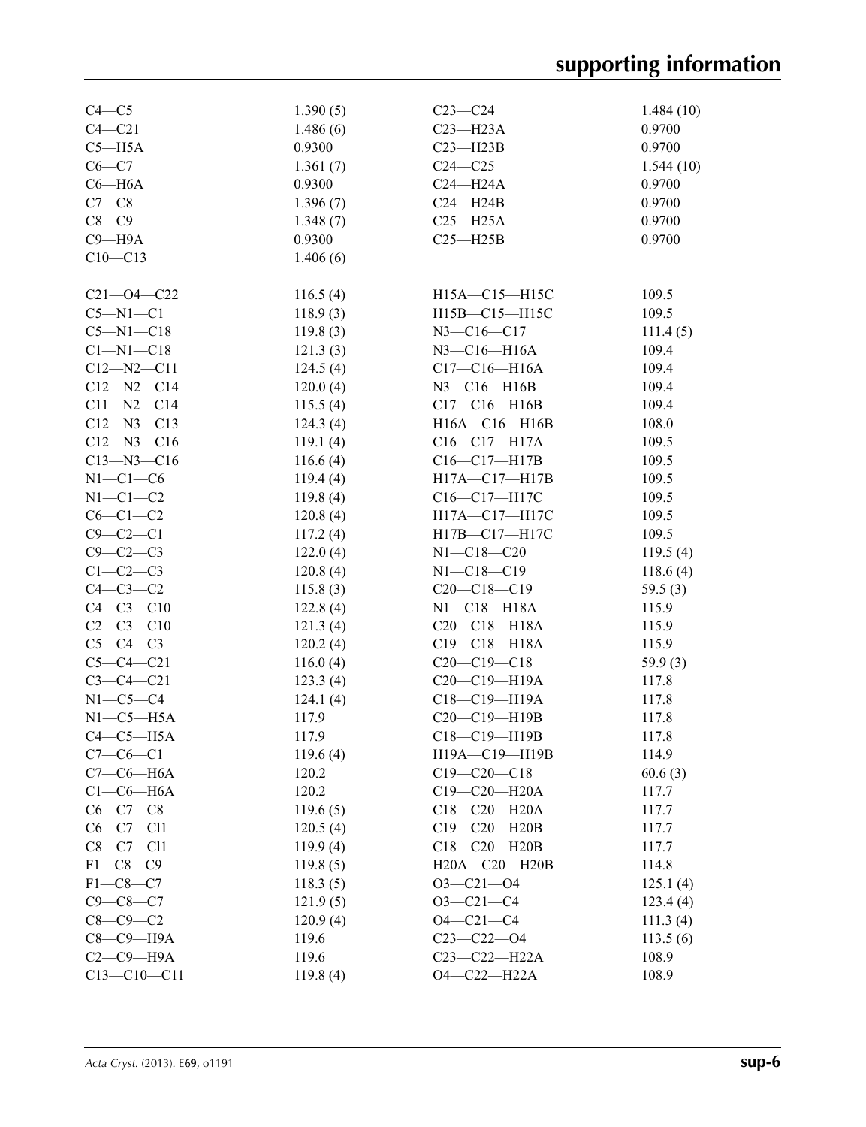| $C4-C5$          | 1.390(5) | $C23-C24$             | 1.484(10)  |
|------------------|----------|-----------------------|------------|
| $C4 - C21$       | 1.486(6) | $C23 - H23A$          | 0.9700     |
| $C5 - H5A$       | 0.9300   | $C23 - H23B$          | 0.9700     |
| $C6-C7$          | 1.361(7) | $C24 - C25$           | 1.544(10)  |
| $C6 - H6A$       | 0.9300   | $C24 - H24A$          | 0.9700     |
| $C7-C8$          | 1.396(7) | $C24 - H24B$          | 0.9700     |
| $C8-C9$          | 1.348(7) | $C25 - H25A$          | 0.9700     |
| $C9 - H9A$       | 0.9300   | $C25 - H25B$          | 0.9700     |
| $C10 - C13$      | 1.406(6) |                       |            |
|                  |          |                       |            |
| $C21 - 04 - C22$ | 116.5(4) | H15A-C15-H15C         | 109.5      |
| $C5-M1-C1$       | 118.9(3) | H15B-C15-H15C         | 109.5      |
| $C5 - N1 - C18$  | 119.8(3) | $N3 - C16 - C17$      | 111.4(5)   |
| $C1 - N1 - C18$  | 121.3(3) | $N3$ — $C16$ — $H16A$ | 109.4      |
| $C12 - N2 - C11$ | 124.5(4) | $C17 - C16 - H16A$    | 109.4      |
| $C12 - N2 - C14$ | 120.0(4) | N3-C16-H16B           | 109.4      |
| $C11 - N2 - C14$ | 115.5(4) | $C17-C16-H16B$        | 109.4      |
| $C12 - N3 - C13$ | 124.3(4) | $H16A - C16 - H16B$   | 108.0      |
| $C12 - N3 - C16$ | 119.1(4) | $C16-C17-H17A$        | 109.5      |
| $C13 - N3 - C16$ | 116.6(4) | $C16-C17-H17B$        | 109.5      |
| $N1-C1-C6$       | 119.4(4) | H17A-C17-H17B         | 109.5      |
| $N1-C1-C2$       | 119.8(4) | C16-C17-H17C          | 109.5      |
| $C6-C1-C2$       | 120.8(4) | H17A-C17-H17C         | 109.5      |
| $C9 - C2 - C1$   | 117.2(4) | H17B-C17-H17C         | 109.5      |
| $C9-C2-C3$       | 122.0(4) | $N1 - C18 - C20$      | 119.5(4)   |
| $C1-C2-C3$       | 120.8(4) | $N1 - C18 - C19$      | 118.6(4)   |
| $C4-C3-C2$       | 115.8(3) | $C20-C18-C19$         | 59.5 $(3)$ |
| $C4 - C3 - C10$  | 122.8(4) | $N1-C18-H18A$         | 115.9      |
| $C2-C3-C10$      | 121.3(4) | $C20-C18-H18A$        | 115.9      |
| $C5-C4-C3$       | 120.2(4) | $C19 - C18 - H18A$    | 115.9      |
| $C5 - C4 - C21$  | 116.0(4) | $C20-C19-C18$         | 59.9(3)    |
| $C3 - C4 - C21$  | 123.3(4) | $C20-C19-H19A$        | 117.8      |
| $N1-C5-C4$       | 124.1(4) | $C18 - C19 - H19A$    | 117.8      |
| $N1-C5-H5A$      | 117.9    | C20-C19-H19B          | 117.8      |
| $C4-C5-H5A$      | 117.9    | C18-C19-H19B          | 117.8      |
| $C7-C6-C1$       | 119.6(4) | H19A-C19-H19B         | 114.9      |
| $C7-C6-H6A$      | 120.2    | $C19 - C20 - C18$     | 60.6(3)    |
| $C1-C6-H6A$      | 120.2    | C19-C20-H20A          | 117.7      |
| $C6 - C7 - C8$   | 119.6(5) | C18-C20-H20A          | 117.7      |
| $C6-C7-C11$      | 120.5(4) | C19-C20-H20B          | 117.7      |
| $C8-C7-C11$      | 119.9(4) | C18-C20-H20B          | 117.7      |
| $F1 - C8 - C9$   | 119.8(5) | H20A-C20-H20B         | 114.8      |
| $F1-C8-C7$       | 118.3(5) | $O3 - C21 - O4$       | 125.1(4)   |
| $C9 - C8 - C7$   | 121.9(5) | $O3 - C21 - C4$       | 123.4(4)   |
| $C8-C9-C2$       | 120.9(4) | $O4 - C21 - C4$       | 111.3(4)   |
| $C8-C9-H9A$      | 119.6    | $C23 - C22 - O4$      | 113.5(6)   |
| $C2-C9-H9A$      | 119.6    | $C23 - C22 - H22A$    | 108.9      |
| $C13-C10-C11$    | 119.8(4) | $O4 - C22 - H22A$     | 108.9      |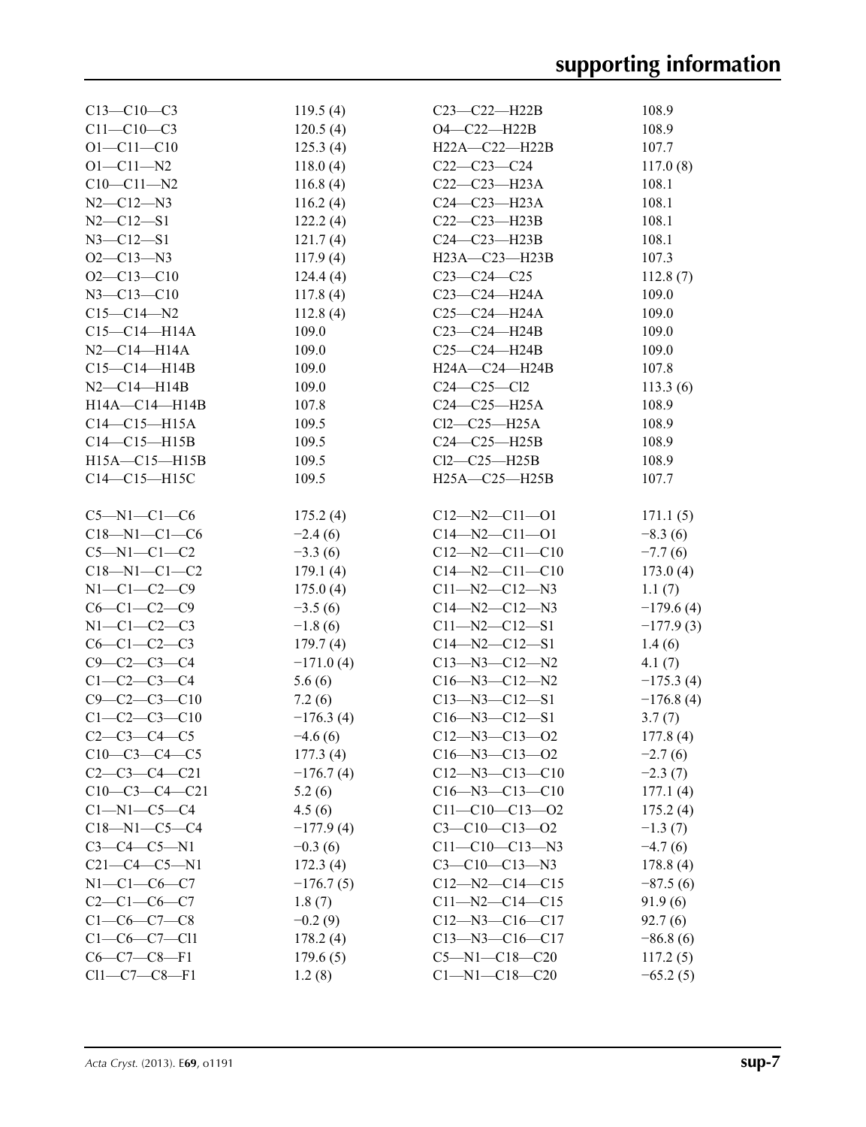| $C13-C10-C3$         | 119.5(4)    | C23-C22-H22B           | 108.9       |
|----------------------|-------------|------------------------|-------------|
| $C11 - C10 - C3$     | 120.5(4)    | $O4 - C22 - H22B$      | 108.9       |
| $O1 - C11 - C10$     | 125.3(4)    | $H22A - C22 - H22B$    | 107.7       |
| $O1 - C11 - N2$      | 118.0(4)    | $C22-C23-C24$          | 117.0(8)    |
| $C10 - C11 - N2$     | 116.8(4)    | $C22-C23-H23A$         | 108.1       |
| $N2 - C12 - N3$      | 116.2(4)    | $C24-C23-H23A$         | 108.1       |
| $N2 - C12 - S1$      | 122.2(4)    | $C22-C23-H23B$         | 108.1       |
| $N3 - C12 - S1$      | 121.7(4)    | $C24-C23-H23B$         | 108.1       |
| $O2 - C13 - N3$      | 117.9(4)    | $H23A - C23 - H23B$    | 107.3       |
| $O2 - C13 - C10$     | 124.4(4)    | $C23-C24-C25$          | 112.8(7)    |
| $N3 - C13 - C10$     | 117.8(4)    | $C23 - C24 - H24A$     | 109.0       |
| $C15 - C14 - N2$     | 112.8(4)    | $C25 - C24 - H24A$     | 109.0       |
| $C15 - C14 - H14A$   | 109.0       | $C23-C24-H24B$         | 109.0       |
| $N2 - C14 - H14A$    | 109.0       | $C25-C24-H24B$         | 109.0       |
| $C15-C14-H14B$       | 109.0       | H24A-C24-H24B          | 107.8       |
| $N2 - C14 - H14B$    | 109.0       | $C24 - C25 - C12$      | 113.3(6)    |
| $H14A - C14 - H14B$  | 107.8       | $C24-C25-H25A$         | 108.9       |
| $C14-C15-H15A$       | 109.5       | $Cl2-C25-H25A$         | 108.9       |
| $C14-C15-H15B$       | 109.5       | $C24-C25-H25B$         | 108.9       |
| $H15A - C15 - H15B$  | 109.5       | $Cl2-C25-H25B$         | 108.9       |
| $C14 - C15 - H15C$   | 109.5       | $H25A - C25 - H25B$    | 107.7       |
|                      |             |                        |             |
| $C5 - N1 - C1 - C6$  | 175.2(4)    | $C12 - N2 - C11 - O1$  | 171.1(5)    |
| $C18 - N1 - C1 - C6$ | $-2.4(6)$   | $C14 - N2 - C11 - O1$  | $-8.3(6)$   |
| $C5 - N1 - C1 - C2$  | $-3.3(6)$   | $C12 - N2 - C11 - C10$ | $-7.7(6)$   |
| $C18 - N1 - C1 - C2$ | 179.1(4)    | $C14 - N2 - C11 - C10$ | 173.0(4)    |
| $N1-C1-C2-C9$        | 175.0(4)    | $C11 - N2 - C12 - N3$  | 1.1(7)      |
| $C6-C1-C2-C9$        | $-3.5(6)$   | $C14 - N2 - C12 - N3$  | $-179.6(4)$ |
| $N1-C1-C2-C3$        | $-1.8(6)$   | $C11 - N2 - C12 - S1$  | $-177.9(3)$ |
| $C6-C1-C2-C3$        | 179.7(4)    | $C14 - N2 - C12 - S1$  | 1.4(6)      |
| $C9 - C2 - C3 - C4$  | $-171.0(4)$ | $C13 - N3 - C12 - N2$  | 4.1(7)      |
| $C1 - C2 - C3 - C4$  | 5.6(6)      | $C16 - N3 - C12 - N2$  | $-175.3(4)$ |
| $C9 - C2 - C3 - C10$ | 7.2(6)      | $C13 - N3 - C12 - S1$  | $-176.8(4)$ |
| $C1 - C2 - C3 - C10$ | $-176.3(4)$ | $C16 - N3 - C12 - S1$  | 3.7(7)      |
| $C2-C3-C4-C5$        | $-4.6(6)$   | $C12 - N3 - C13 - O2$  | 177.8(4)    |
| $C10-C3-C4-C5$       | 177.3(4)    | $C16 - N3 - C13 - O2$  | $-2.7(6)$   |
| $C2-C3-C4-C21$       | $-176.7(4)$ | $C12 - N3 - C13 - C10$ | $-2.3(7)$   |
| $C10-C3-C4-C21$      | 5.2(6)      | $C16 - N3 - C13 - C10$ | 177.1(4)    |
| $C1-M1-C5-C4$        | 4.5(6)      | $C11-C10-C13-02$       | 175.2(4)    |
| $C18 - N1 - C5 - C4$ | $-177.9(4)$ | $C3 - C10 - C13 - 02$  | $-1.3(7)$   |
| $C3-C4-C5-N1$        | $-0.3(6)$   | $C11 - C10 - C13 - N3$ | $-4.7(6)$   |
| $C21-C4-C5-N1$       | 172.3(4)    | $C3-C10-C13-N3$        | 178.8(4)    |
| $N1-C1-C6-C7$        | $-176.7(5)$ | $C12 - N2 - C14 - C15$ | $-87.5(6)$  |
| $C2-C1-C6-C7$        | 1.8(7)      | $C11 - N2 - C14 - C15$ | 91.9(6)     |
| $C1-C6-C7-C8$        | $-0.2(9)$   | $C12 - N3 - C16 - C17$ | 92.7(6)     |
| $C1-C6-C7-C11$       | 178.2(4)    | $C13 - N3 - C16 - C17$ | $-86.8(6)$  |
| $C6-C7-C8-F1$        | 179.6(5)    | $C5 - N1 - C18 - C20$  | 117.2(5)    |
| $Cl1-C7-C8-F1$       | 1.2(8)      | $C1 - N1 - C18 - C20$  | $-65.2(5)$  |